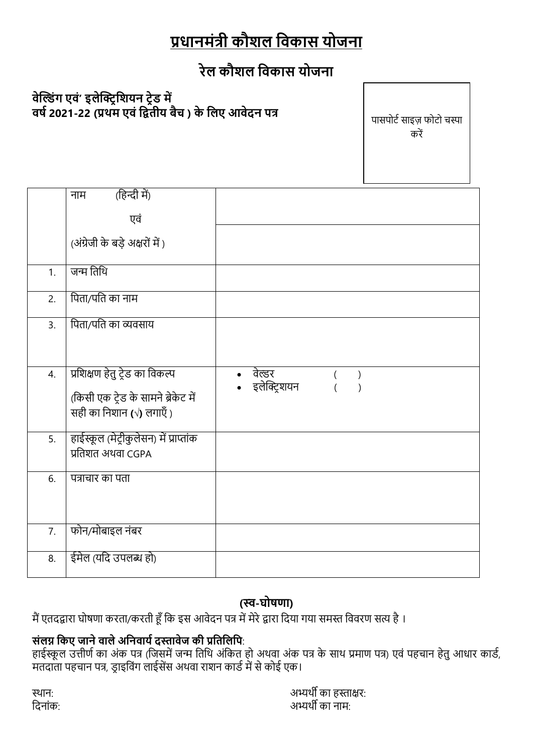# प्रधानमंत्री कौशल विकास योजना

## रेल कौशल विकास योजना

## वेल्डिंग एवं' इलेक्ट्रिशियन ट्रेड में वर्ष 2021-22 (प्रथम एवं द्वितीय बैच ) के लिए आवेदन पत्र

पासपोर्ट साइज़ फोटो चस्पा करें

|    | (हिन्दी में)<br>नाम                                                                              |                                     |
|----|--------------------------------------------------------------------------------------------------|-------------------------------------|
|    | एवं                                                                                              |                                     |
|    | (अंग्रेजी के बड़े अक्षरों में)                                                                   |                                     |
| 1. | जन्म तिथि                                                                                        |                                     |
| 2. | पिता/पति का नाम                                                                                  |                                     |
| 3. | पिता/पति का व्यवसाय                                                                              |                                     |
|    |                                                                                                  |                                     |
| 4. | प्रशिक्षण हेतु ट्रेड का विकल्प<br>(किसी एक ट्रेड के सामने ब्रेकेट में<br>सही का निशान (√) लगाएँ) | वेल्डर<br>$\lambda$<br>इलेक्ट्रिशयन |
| 5. | हाईस्कूल (मेट्रीकुलेसन) में प्राप्तांक<br>प्रतिशत अथवा CGPA                                      |                                     |
| 6. | पत्राचार का पता                                                                                  |                                     |
| 7. | फोन/मोबाइल नंबर                                                                                  |                                     |
| 8. | ईमेल (यदि उपलब्ध हो)                                                                             |                                     |

## (स्व-घोषणा)

मैं एतदद्वारा घोषणा करता/करती हूँ कि इस आवेदन पत्र में मेरे द्वारा दिया गया समस्त विवरण सत्य है ।

## संलग्न किए जाने वाले अनिवार्य दस्तावेज की प्रतिलिपि:

सस्त में २ आर्म कार्स का मैंने में २ साम के कार्यालय में ..<br>हाईस्कूल उत्तीर्ण का अंक पत्र (जिसमें जन्म तिथि अंकित हो अथवा अंक पत्र के साथ प्रमाण पत्र) एवं पहचान हेतु आधार कार्ड, मतदाता पहचान पत्र, ड्राइविंग लाईसेंस अथवा राशन कार्ड में से कोई एक।

स्थान: दिनांक: अभ्यर्थी का हस्ताक्षर: अभ्यर्थी का नाम∙